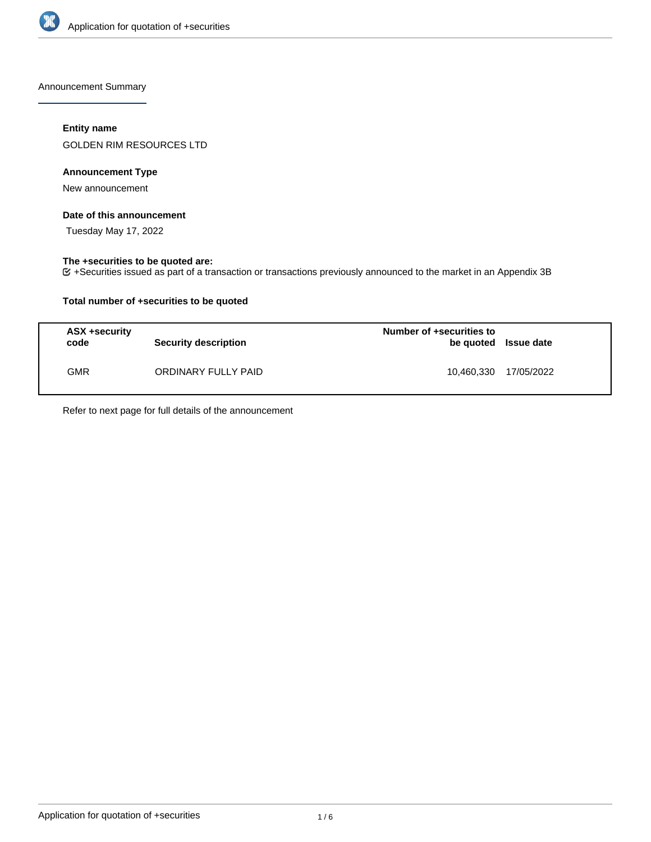

Announcement Summary

# **Entity name**

GOLDEN RIM RESOURCES LTD

# **Announcement Type**

New announcement

## **Date of this announcement**

Tuesday May 17, 2022

# **The +securities to be quoted are:**

+Securities issued as part of a transaction or transactions previously announced to the market in an Appendix 3B

# **Total number of +securities to be quoted**

| ASX +security<br>code | <b>Security description</b> | Number of +securities to<br>be quoted Issue date |            |
|-----------------------|-----------------------------|--------------------------------------------------|------------|
| GMR                   | ORDINARY FULLY PAID         | 10,460,330                                       | 17/05/2022 |

Refer to next page for full details of the announcement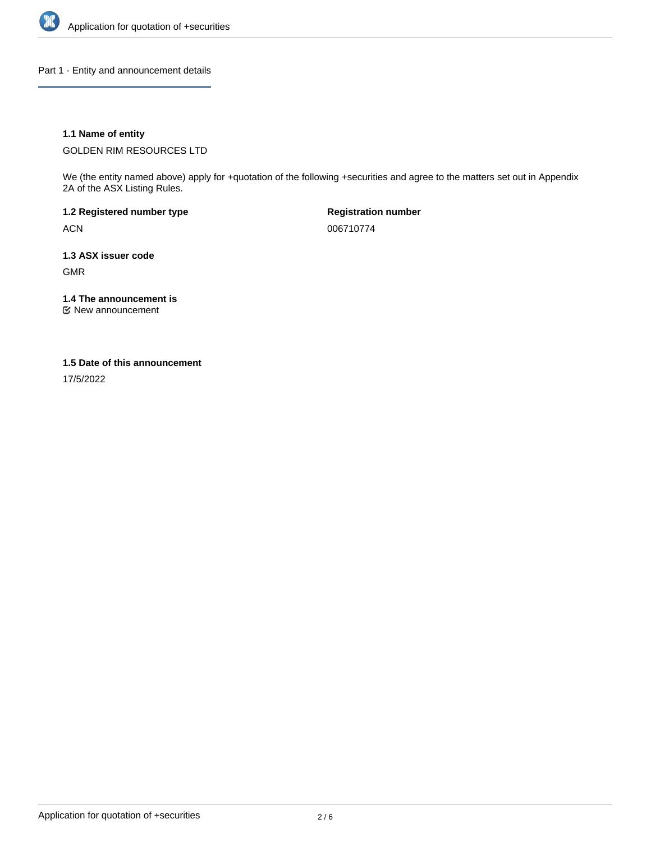

Part 1 - Entity and announcement details

# **1.1 Name of entity**

GOLDEN RIM RESOURCES LTD

We (the entity named above) apply for +quotation of the following +securities and agree to the matters set out in Appendix 2A of the ASX Listing Rules.

**1.2 Registered number type** ACN

**Registration number** 006710774

**1.3 ASX issuer code** GMR

**1.4 The announcement is**

New announcement

### **1.5 Date of this announcement**

17/5/2022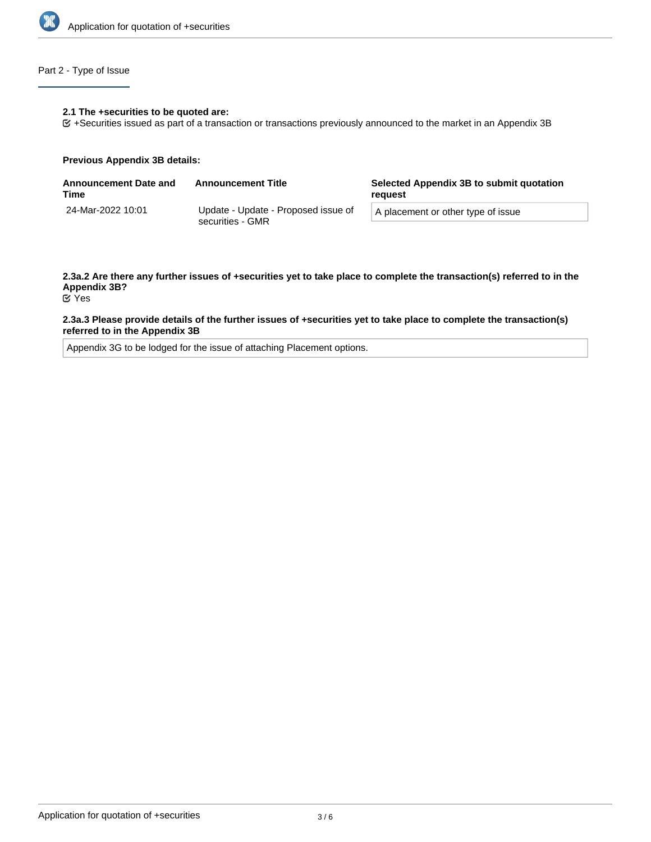

# Part 2 - Type of Issue

#### **2.1 The +securities to be quoted are:**

+Securities issued as part of a transaction or transactions previously announced to the market in an Appendix 3B

#### **Previous Appendix 3B details:**

| <b>Announcement Date and</b><br>Time | <b>Announcement Title</b>                               | Selected Appendix 3B to submit quotation<br>reauest |
|--------------------------------------|---------------------------------------------------------|-----------------------------------------------------|
| 24-Mar-2022 10:01                    | Update - Update - Proposed issue of<br>securities - GMR | A placement or other type of issue                  |

# **2.3a.2 Are there any further issues of +securities yet to take place to complete the transaction(s) referred to in the Appendix 3B?**

Yes

#### **2.3a.3 Please provide details of the further issues of +securities yet to take place to complete the transaction(s) referred to in the Appendix 3B**

Appendix 3G to be lodged for the issue of attaching Placement options.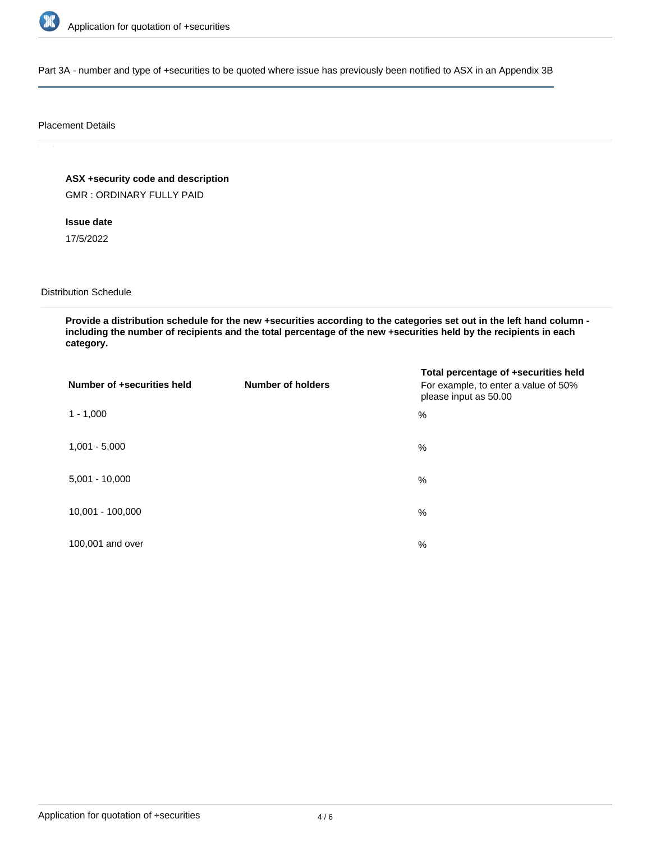

Part 3A - number and type of +securities to be quoted where issue has previously been notified to ASX in an Appendix 3B

#### Placement Details

# **ASX +security code and description**

GMR : ORDINARY FULLY PAID

# **Issue date**

17/5/2022

# Distribution Schedule

**Provide a distribution schedule for the new +securities according to the categories set out in the left hand column including the number of recipients and the total percentage of the new +securities held by the recipients in each category.**

| Number of +securities held | <b>Number of holders</b> | Total percentage of +securities held<br>For example, to enter a value of 50%<br>please input as 50.00 |
|----------------------------|--------------------------|-------------------------------------------------------------------------------------------------------|
| $1 - 1,000$                |                          | $\%$                                                                                                  |
| $1,001 - 5,000$            |                          | $\frac{0}{0}$                                                                                         |
| $5,001 - 10,000$           |                          | $\%$                                                                                                  |
| 10,001 - 100,000           |                          | $\%$                                                                                                  |
| 100,001 and over           |                          | $\%$                                                                                                  |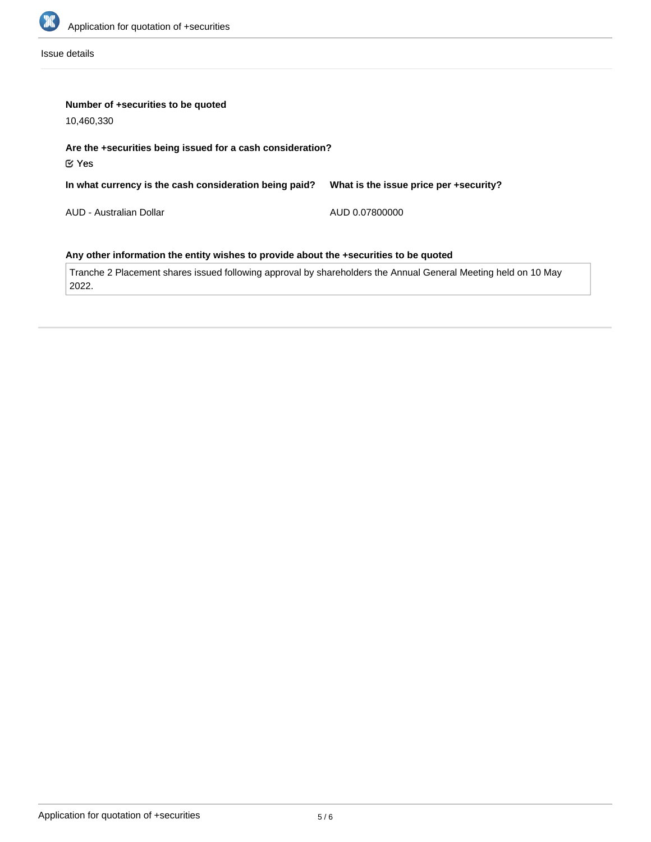

Issue details

| Number of +securities to be quoted                                                    |                                        |  |  |  |
|---------------------------------------------------------------------------------------|----------------------------------------|--|--|--|
| 10,460,330                                                                            |                                        |  |  |  |
| Are the +securities being issued for a cash consideration?<br>$\mathfrak C$ Yes       |                                        |  |  |  |
| In what currency is the cash consideration being paid?                                | What is the issue price per +security? |  |  |  |
| AUD - Australian Dollar                                                               | AUD 0.07800000                         |  |  |  |
| Any other information the entity wishes to provide about the +securities to be quoted |                                        |  |  |  |

Tranche 2 Placement shares issued following approval by shareholders the Annual General Meeting held on 10 May 2022.